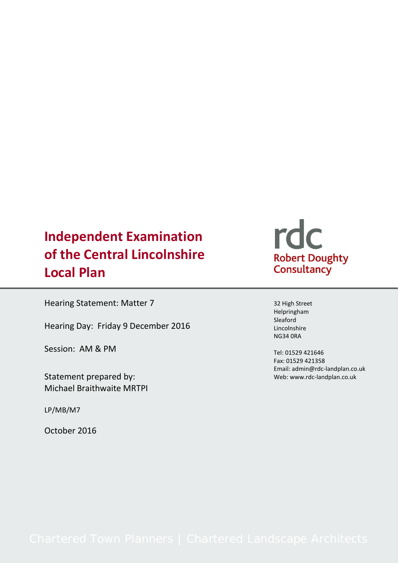# **Independent Examination of the Central Lincolnshire Local Plan**

Hearing Statement: Matter 7

Hearing Day: Friday 9 December 2016

Session: AM & PM

Statement prepared by: Michael Braithwaite MRTPI

LP/MB/M7

October 2016

# rdc Robert Doughty<br>Consultancy

32 High Street Helpringham Sleaford Lincolnshire NG34 0RA

Tel: 01529 421646 Fax: 01529 421358 Email: admin@rdc-landplan.co.uk Web: www.rdc-landplan.co.uk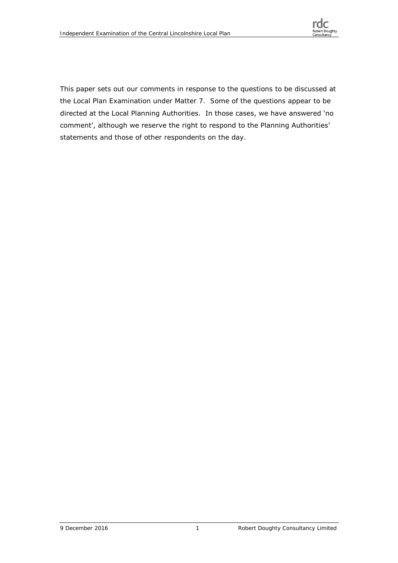

This paper sets out our comments in response to the questions to be discussed at the Local Plan Examination under Matter 7. Some of the questions appear to be directed at the Local Planning Authorities. In those cases, we have answered 'no comment', although we reserve the right to respond to the Planning Authorities' statements and those of other respondents on the day.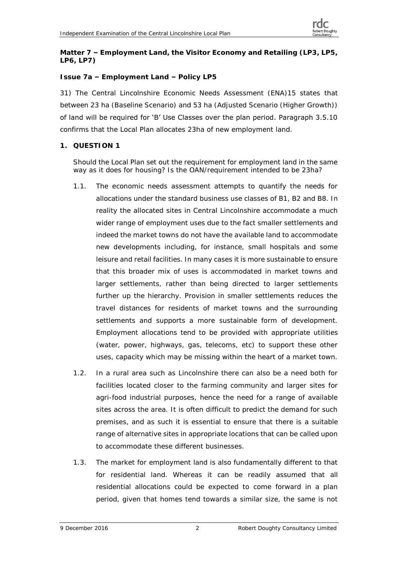**Matter 7 – Employment Land, the Visitor Economy and Retailing (LP3, LP5, LP6, LP7)**

# **Issue 7a – Employment Land – Policy LP5**

31) The Central Lincolnshire Economic Needs Assessment (ENA)15 states that between 23 ha (Baseline Scenario) and 53 ha (Adjusted Scenario (Higher Growth)) of land will be required for 'B' Use Classes over the plan period. Paragraph 3.5.10 confirms that the Local Plan allocates 23ha of new employment land.

**1. QUESTION 1**

Should the Local Plan set out the requirement for employment land in the same way as it does for housing? Is the OAN/requirement intended to be 23ha?

- 1.1. The economic needs assessment attempts to quantify the needs for allocations under the standard business use classes of B1, B2 and B8. In reality the allocated sites in Central Lincolnshire accommodate a much wider range of employment uses due to the fact smaller settlements and indeed the market towns do not have the available land to accommodate new developments including, for instance, small hospitals and some leisure and retail facilities. In many cases it is more sustainable to ensure that this broader mix of uses is accommodated in market towns and larger settlements, rather than being directed to larger settlements further up the hierarchy. Provision in smaller settlements reduces the travel distances for residents of market towns and the surrounding settlements and supports a more sustainable form of development. Employment allocations tend to be provided with appropriate utilities (water, power, highways, gas, telecoms, etc) to support these other uses, capacity which may be missing within the heart of a market town.
- 1.2. In a rural area such as Lincolnshire there can also be a need both for facilities located closer to the farming community and larger sites for agri-food industrial purposes, hence the need for a range of available sites across the area. It is often difficult to predict the demand for such premises, and as such it is essential to ensure that there is a suitable range of alternative sites in appropriate locations that can be called upon to accommodate these different businesses.
- 1.3. The market for employment land is also fundamentally different to that for residential land. Whereas it can be readily assumed that all residential allocations could be expected to come forward in a plan period, given that homes tend towards a similar size, the same is not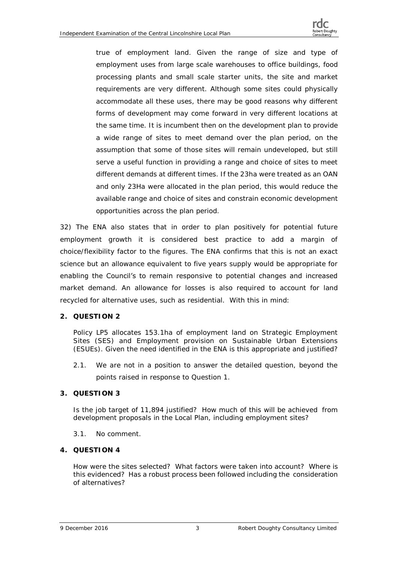

true of employment land. Given the range of size and type of employment uses from large scale warehouses to office buildings, food processing plants and small scale starter units, the site and market requirements are very different. Although some sites could physically accommodate all these uses, there may be good reasons why different forms of development may come forward in very different locations at the same time. It is incumbent then on the development plan to provide a wide range of sites to meet demand over the plan period, on the assumption that some of those sites will remain undeveloped, but still serve a useful function in providing a range and choice of sites to meet different demands at different times. If the 23ha were treated as an OAN and only 23Ha were allocated in the plan period, this would reduce the available range and choice of sites and constrain economic development opportunities across the plan period.

32) The ENA also states that in order to plan positively for potential future employment growth it is considered best practice to add a margin of choice/flexibility factor to the figures. The ENA confirms that this is not an exact science but an allowance equivalent to five years supply would be appropriate for enabling the Council's to remain responsive to potential changes and increased market demand. An allowance for losses is also required to account for land recycled for alternative uses, such as residential. With this in mind:

**2. QUESTION 2**

Policy LP5 allocates 153.1ha of employment land on Strategic Employment Sites (SES) and Employment provision on Sustainable Urban Extensions (ESUEs). Given the need identified in the ENA is this appropriate and justified?

2.1. We are not in a position to answer the detailed question, beyond the points raised in response to Question 1.

# **3. QUESTION 3**

Is the job target of 11,894 justified? How much of this will be achieved from development proposals in the Local Plan, including employment sites?

- 3.1. No comment.
- **4. QUESTION 4**

How were the sites selected? What factors were taken into account? Where is this evidenced? Has a robust process been followed including the consideration of alternatives?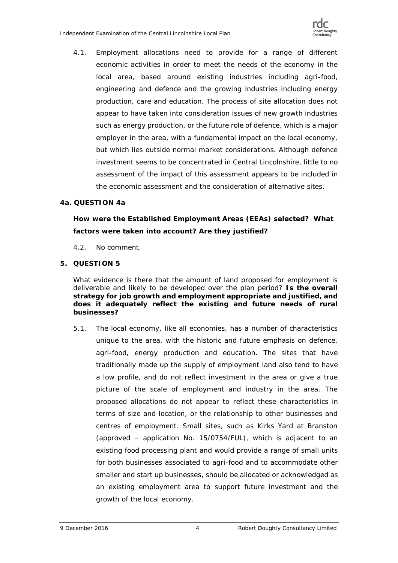4.1. Employment allocations need to provide for a range of different economic activities in order to meet the needs of the economy in the local area, based around existing industries including agri-food, engineering and defence and the growing industries including energy production, care and education. The process of site allocation does not appear to have taken into consideration issues of new growth industries such as energy production, or the future role of defence, which is a major employer in the area, with a fundamental impact on the local economy, but which lies outside normal market considerations. Although defence investment seems to be concentrated in Central Lincolnshire, little to no assessment of the impact of this assessment appears to be included in the economic assessment and the consideration of alternative sites.

# **4a. QUESTION 4a**

*How were the Established Employment Areas (EEAs) selected? What factors were taken into account? Are they justified?*

- 4.2. No comment.
- **5. QUESTION 5**

What evidence is there that the amount of land proposed for employment is deliverable and likely to be developed over the plan period? *Is the overall strategy for job growth and employment appropriate and justified, and*  does it adequately reflect the existing and future needs of rural *businesses?*

5.1. The local economy, like all economies, has a number of characteristics unique to the area, with the historic and future emphasis on defence, agri-food, energy production and education. The sites that have traditionally made up the supply of employment land also tend to have a low profile, and do not reflect investment in the area or give a true picture of the scale of employment and industry in the area. The proposed allocations do not appear to reflect these characteristics in terms of size and location, or the relationship to other businesses and centres of employment. Small sites, such as Kirks Yard at Branston (approved – application No. 15/0754/FUL), which is adjacent to an existing food processing plant and would provide a range of small units for both businesses associated to agri-food and to accommodate other smaller and start up businesses, should be allocated or acknowledged as an existing employment area to support future investment and the growth of the local economy.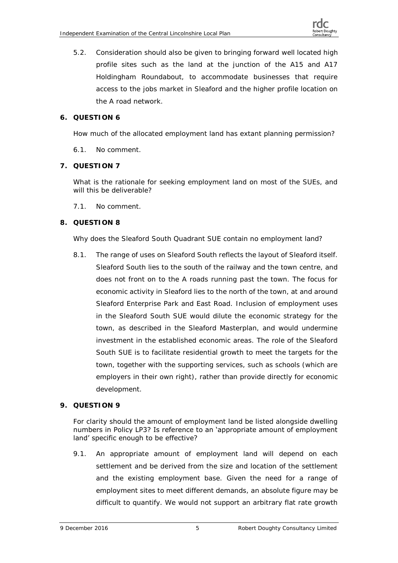5.2. Consideration should also be given to bringing forward well located high profile sites such as the land at the junction of the A15 and A17 Holdingham Roundabout, to accommodate businesses that require access to the jobs market in Sleaford and the higher profile location on the A road network.

# **6. QUESTION 6**

How much of the allocated employment land has extant planning permission?

6.1. No comment.

# **7. QUESTION 7**

What is the rationale for seeking employment land on most of the SUEs, and will this be deliverable?

7.1. No comment.

# **8. QUESTION 8**

Why does the Sleaford South Quadrant SUE contain no employment land?

8.1. The range of uses on Sleaford South reflects the layout of Sleaford itself. Sleaford South lies to the south of the railway and the town centre, and does not front on to the A roads running past the town. The focus for economic activity in Sleaford lies to the north of the town, at and around Sleaford Enterprise Park and East Road. Inclusion of employment uses in the Sleaford South SUE would dilute the economic strategy for the town, as described in the Sleaford Masterplan, and would undermine investment in the established economic areas. The role of the Sleaford South SUE is to facilitate residential growth to meet the targets for the town, together with the supporting services, such as schools (which are employers in their own right), rather than provide directly for economic development.

# **9. QUESTION 9**

#### For clarity should the amount of employment land be listed alongside dwelling numbers in Policy LP3? Is reference to an 'appropriate amount of employment land' specific enough to be effective?

9.1. An appropriate amount of employment land will depend on each settlement and be derived from the size and location of the settlement and the existing employment base. Given the need for a range of employment sites to meet different demands, an absolute figure may be difficult to quantify. We would not support an arbitrary flat rate growth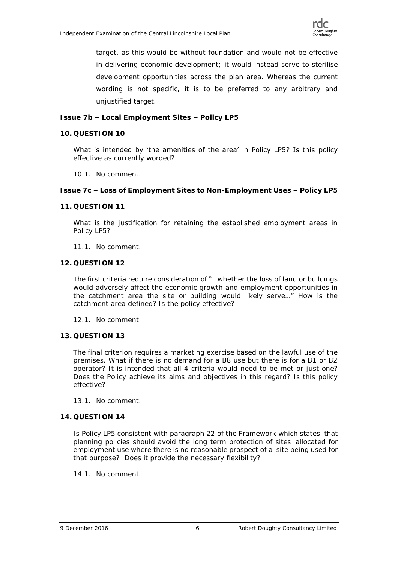target, as this would be without foundation and would not be effective in delivering economic development; it would instead serve to sterilise development opportunities across the plan area. Whereas the current wording is not specific, it is to be preferred to any arbitrary and unjustified target.

**Issue 7b – Local Employment Sites – Policy LP5**

**10. QUESTION 10**

What is intended by 'the amenities of the area' in Policy LP5? Is this policy effective as currently worded?

10.1. No comment.

**Issue 7c – Loss of Employment Sites to Non-Employment Uses – Policy LP5**

**11. QUESTION 11**

What is the justification for retaining the established employment areas in Policy LP5?

- 11.1. No comment.
- **12. QUESTION 12**

The first criteria require consideration of "…whether the loss of land or buildings would adversely affect the economic growth and employment opportunities in the catchment area the site or building would likely serve…" How is the catchment area defined? Is the policy effective?

- 12.1. No comment
- **13. QUESTION 13**

The final criterion requires a marketing exercise based on the lawful use of the premises. What if there is no demand for a B8 use but there is for a B1 or B2 operator? It is intended that all 4 criteria would need to be met or just one? Does the Policy achieve its aims and objectives in this regard? Is this policy effective?

- 13.1. No comment.
- **14. QUESTION 14**

Is Policy LP5 consistent with paragraph 22 of the Framework which states that planning policies should avoid the long term protection of sites allocated for employment use where there is no reasonable prospect of a site being used for that purpose? Does it provide the necessary flexibility?

14.1. No comment.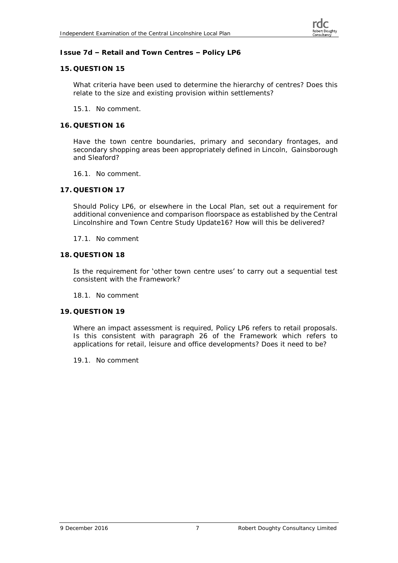### **Issue 7d – Retail and Town Centres – Policy LP6**

#### **15. QUESTION 15**

What criteria have been used to determine the hierarchy of centres? Does this relate to the size and existing provision within settlements?

15.1. No comment.

#### **16. QUESTION 16**

Have the town centre boundaries, primary and secondary frontages, and secondary shopping areas been appropriately defined in Lincoln, Gainsborough and Sleaford?

- 16.1. No comment.
- **17. QUESTION 17**

Should Policy LP6, or elsewhere in the Local Plan, set out a requirement for additional convenience and comparison floorspace as established by the Central Lincolnshire and Town Centre Study Update16? How will this be delivered?

17.1. No comment

#### **18. QUESTION 18**

Is the requirement for 'other town centre uses' to carry out a sequential test consistent with the Framework?

18.1. No comment

#### **19. QUESTION 19**

Where an impact assessment is required, Policy LP6 refers to retail proposals. Is this consistent with paragraph 26 of the Framework which refers to applications for retail, leisure and office developments? Does it need to be?

19.1. No comment